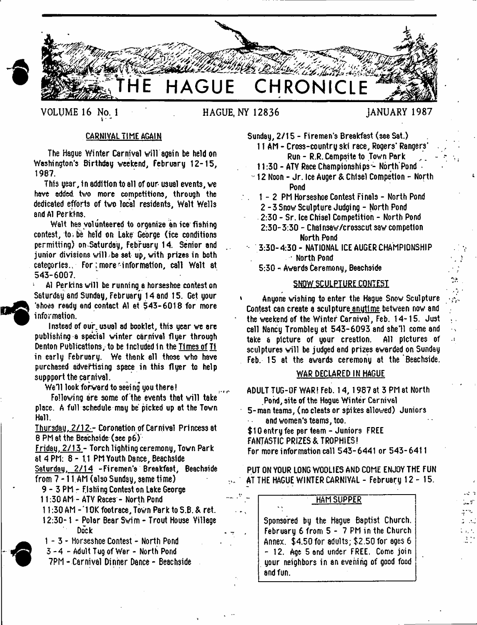

VOLUME 16 No. 1 **ACUE, NY 12836** JANUARY 1987

٨ż

 $\mathcal{L}$ 

š,  $\ddot{\phantom{0}}$  $\cdot$  I

## CARNIVAL TIME AGAIN

The Hague Winter Carnival will again be held on Washington's Birthday weekend, February 12-15, 1987.

This year, in addition to all of our- usual events, we have added two more competitions, through the dedicated efforts of two local residents, Walt Wells and A1 Perkins.

Walt has volunteered to organize an ice fishing contest, to, be held on Lake George (ice conditions permitting) on Saturday, February 14. Senior and junior divisions will be set up, with prizes in both categories. For: more information, call Walt at 543-6007.

A1 Perkins will be running a horseshoe contest on Saturday and Sunday, February 14 and 15. Get your 'shoes reedy end contact A1 at 543-6018 for more information.

Instead of our usual ad booklet, this year we are publishing a special winter carnival flyer through Denton Publications, to be tncludedin the Times of T1 in early February. We thank all those who have purchased advertising space in this flyer to help suppport the carnival.

We'll look for ward to seeing you there!

Following are some of the events that will take place. A full schedule may be picked up at the Town Hall.

Thursdau. 2 /1 2 - Coronation of Carnival Princess at 8 PM at the Beachside (see p6)

Fridau. 2/13 - Torch lighting ceremony, Town Park at 4 PM: 8 - 1.1 PM Youth Dance, Beachslde

Saturday. 2/14 -Firemen's Breakfast, Beachside

from 7 -11 AM (also Sunday, same time)

9 - 3 PM - Fishing Contest on Lake George

11:30 AM - ATV Races - North Pond

- 11:30 AM  *)* OK footrace. Town Park to S.B. & ret.
- 12:30-1 Polar Bear Swim Trout House Village Dock

1 - 3 - Horseshoe Contest - North Pond

3 - 4 - Adult Tug of War - North Pond

 $\mathbf{A}$ 

7PM - Carnival Dinner Dance - Beachside

Sunday, 2/15 - Firemen's Breakfast (see Sat.)

11 AM - Cross-country ski race, Rogers' Rangers' Run - R.R. Campsite to Town Park

11:30 - ATV Race Championships - North Pond  $\rightarrow$ 

12 Noon - Jr. Ice Auger & Chisel Competlon - North Pond

1 - 2 PM Horseshoe Contest Finals - North Pond 2 -3 Snow Sculpture Judging - North Pond 2:30 - Sr. Ice Chisel Competition - North Pond 2:30-3:30 - Chalnsaw/crosscut saw competlon North Pond

- 3:30-4:30- NATIONAL ICE AUGER CHAMPIONSHIP • North Pond

5:30 - Awards Ceremony, Beachside

### SNOW SCULPTURE CONTEST

Anyone wishing to enter the Hague Snow Sculpture Contest can create e sculpture anutlme between now and the weekend of the Winter Carnival, Feb. 14-15. Just call Nancy Trombley at 543-6093 and she'll come and take a picture of your creation. All pictures of sculptures will be judged end prizes awarded on Sunday Feb. 15 at the awards ceremony at the Beachside.

## WAR DECLARED IN HAGUE

ADULT TUG-OF WAR! Feb. 14,1987 at 3 PM at North Pond, site of the Hague Winter Carnival

5-manteam3, (no cleats or spikes allowed) Juniors and women's teams, too.

\$10 entry fee per team - Juniors FREE

FANTASTIC PRIZES & TROPHIES!

For more information call 543-6441 or 543-6411

PUT ON YOUR LONG WOOLIES AND COME ENJOY THE FUN AT THE HAGUE WINTER CARNIVAL - February 12-15.

# HAM SUPPER

Sponsored by the Hague Baptist Church. February 6 from 5 - 7 PM in the Church Annex. \$4.50 for adults; \$2.50 for ages 6 - 12. Age Band under FREE. Come join your neighbors in an evening of good food and fun.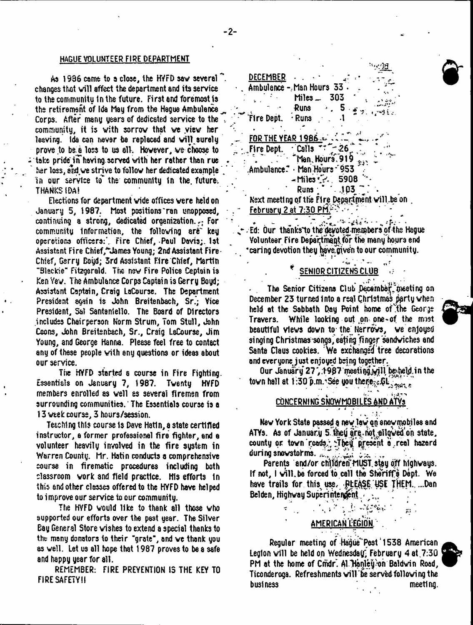#### HAGUE VOLUNTEER FIRE DEPARTMENT

As 1936 came to a close, the HYFD saw several ". changed that will affect the department and its service to the community in the future. First end foremost js the retirement of Ida May from the Hague Ambulance Corps. After many years of dedicated service to the . community, it is with sorrow that we view her leaving. Ida can never be replaced and will surely prove to be a loss to us all. However, we choose to take pride in having served with her rather than rue her loss, and we strive to follow her dedicated example 7 in our service to" the community in the. future. THANKS IDA!

Elections for department vide offices were held on January 5, !987: Most positions'ran unopposed, continuing a strong, dedicated organization. $\frac{1}{\epsilon}$  For community Information, the following are key operations officers:'. Fire Chief, -Paul Davis;. 1st Assistant Fire Chief/"James Young; 2nd Assistant Fire Chief, Gerry Boyd; 3rd Assistant Fire Chief, Martin "31sck:e" Fitzgerald. The new Fire Police Captain is Ken Yew. The Ambulance Corps Captain is Gerry Boyd; Assistant Captain, Craig LaCourse. The Department President again is John Breitenbach, Sr.; Vice President, Sal Santanlello. The Board of Directors includes Chairperson Norm Strum, Tom Stull, John Coons, John Breitenbach, Sr., Craig LsCourse, Jim Young, and George Hanna. Please feel free to contact any of these people with any questions or ideas about our service.

The HYFD started a course in Fire Fighting. Essentials on January 7, 1987. Twenty HYFD members enrolled as well as several firemen from surrounding communities.' The Essentials course is a 13 week course, 3 hours/session.

Teaching this course is Dave Hatln, a state certified instructor, a former professional fire fighter, and e volunteer heavily involved in the fire system in Warren County. Mr. Hatin conducts a comprehensive course in firematic procedures including both classroom work and field practice. His efforts In this and other classes offered to the HYFD have helped to improve our service to our community.

The HYFD would like to thank all those who supported our efforts over the past year. The Silver Bay General Store wishes to extend a special thanks to the many donators to their "grate", and we thank you as well. Let us all hope that 1987 proves to be a safe and happy year for all.

REMEMBER: FIRE PREVENTION 13 THE KEY TO FIRE SAFETY!!

| DECEMBER                                       |  |
|------------------------------------------------|--|
| Ambulance - Man Hours 33.                      |  |
| Miles _<br>303                                 |  |
| <b>Runs</b>                                    |  |
| Fire Dept.<br>· Runs                           |  |
|                                                |  |
| <b>FOR THE YEAR 1986 =</b>                     |  |
| $\cdot$ Calls<br>. Fire Dept.<br>$-26$         |  |
| Man Hours 919                                  |  |
| Ambulance. Man Hours 953.                      |  |
| $-$ Miles $\cdot$ $\cdot$ 5908                 |  |
| $\sim 103$<br>Runs :                           |  |
| Next meeting of the Fire Department will be on |  |
| <u>February 2 at 7:30 PM.</u>                  |  |
|                                                |  |

 $\mathcal{F}_\mathbf{r} = \mathbf{r} \times \mathbf{r}$  . The space of the set of the space of  $\mathcal{F}_\mathbf{r}$  $\leftarrow$  . Ed: Our thanks to the devoted members of the Hague Volunteer Fire Department for the many hours end . 'caring devotion they have.given to our community.

## SENIOR CITIZENS CLUB

The Senior Citizens Club December meeting on December 23 turned Into a real Christmas pprty when held at the Sabbath Day Point home of the George Travers. While looking out on one-of the mist beautiful views down to the Narrows, we enjoyed singing Christmas songs, eating finger sandwiches and Santa Claus cookies. 'We exchanged tree decorations and everyone just enjoyed being together.

Our January 27, 1987 meeting will be held in the town hall at 1:30 p.m. See you thenough  $\zeta_{\rm{scat}}$  ,

# CONCERNING SNOWMOBILES AND ATVs

New York State passed a new lay op snov mo biles and ATYs. As of January 5 they are not allowed on state, county or town reads... They present a real hazard during snowstorms.  $\mu_{\alpha}$  ,  $\mu_{\alpha}$ 

Parents and/or children MUST stay off highways. If not,  $I$  will be forced to call the Sheriff's Dept. We have trails for this use. PLEASE USE THEM. ...Dan Belden, Highway Superintendent.

> $\mathbb{P}_\mathcal{P}$  is a set of  $\mathcal{P}_\mathcal{P}$  in the integration american l'egion. .

Regular meeting of Hague"Post \*1538 American Legion will be held on Wednesday, February 4 at .7:30 PM at the home of Cmdr. Al Hanley-on Baldwin Road, Ticonderoga. Refreshments will'be served following the business meeting.

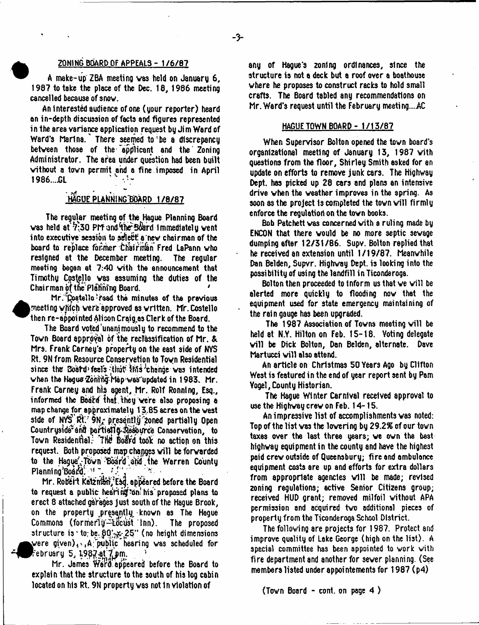## • ZONING BOARD OF APPEALS - 1 /6 /8 7

A make-up ZBA meeting vas held on January 6, 1937 to take the place of the Dec. 18, 1986 meeting cancelled because of snov.

An Interested audience of one (your reporter) heard an in-depth discussion of facts and figures represented in the area variance application request by Jim Ward of Ward's Marina. There seemed to be a discrepancy between those of the "applicant and the Zoning Administrator. The afea under question had been built without a town permit and a fine imposed in April  $1986...$ GL

## HAGUE PLANNING BOARD 1/8/87

The regular meeting of the Hague Planning Board was held at 7:30 PM and the Board Immediately went into executive session to select a new chairman of the board to replace former Chairinan Fred LaPann who resigned at the December meeting. The regular meeting began at 7:40 vith the announcement that Timothy Costello vas assuming the duties of the Chair man of the Planning Board.

Mr. Dostello read the minutes of the previous meeting which were approved as written. Mr. Costello then re-appointed Alison Craig as Clerk of the Board.

The Board voted unanimously to recommend to the Town Board approval of the reclassification of Mr. & Mrs. Frank Carney's property on the east side of NYS Rt. 9N from Resource Conservation to Toyn Residential since the Board feels that this change was intended when the Hagus Zonring Map was updated in 1983. Mr. Frank Carney and his agent, Mr. Rolf Ronntng, Esq., informed the Board that they were also proposing a map change for approxi matel y 13.85 acres on the vest side of NYS Rt.' 9N; presentl.g zoned partially Open Countryside and particily Resource Conservation, to Town Residential: The Board took no action on this request. Both proposed map changes will be forvarded to the Haque' Town Board and the Warren County Planning'Board, M ~.

Mr. Robert Katzman, Esd. appeared before the Board to request a public hearing on his proposed plans to erect 8 attached garages just south of the Hague Brook, on the property presently known as The Hague Commons (formerly-locust Inn). The proposed structure is  $\cdot$  to; be.  $90^{\prime}$ sx 25" (no height dimensions ^^ve re given)^,A;public hearing was scheduled for .<br>"ebruary 5, 198<u>7 at 7 pm</u>.

Mr. James Ward, appeared before the Board to explain that the structure to the south of his log cabin located on his Rt. 9N property vas not In violation of

any of Hague's zoning ordinances, since the structure is not a deck but a roof over a boathouse where he proposes to construct racks to hold small crafts. The Board tabled any recommendations on Mr. Ward's request until the February meeting...AC

## HAGUE TOWN BOARD - 1/15/67

When Supervisor Bolton opened the tovn board's organizational meeting of January 13, 1987 vith questions from the floor, Shirley Smith asked for an update on efforts to remove junk cars. The Highway Dept, has picked up 28 cars and plans an intensive drive when the weather improves in the spring. As soon as the project Is completed the tovn will firmly enforce the regulation on the tovn books.

Bob Patchett vas concerned vith a ruling made by ENCON that there would be no more septic sewage dumping after 12/31/86. Supv. Bolton replied that he received an extension until 1/19/87. Meanwhile Dan Belden, Supvr. Highway Dept, is looking into the possibility of using the landfill in Ticonderoga.

Bolton then proceeded to tnform us that ve will be alerted more quickly to flooding now that the equipment used for state emergency maintaining of the rain gauge has been upgraded.

The 1987 Association of Towns meeting will be held at N.Y. Hilton on Feb. 15-18. Voting delegate will be Dick Bolton, Dan Belden, alternate. Dave Martucci will also attend.

An article on Christmas 50 Years Ago by Clifton West is featured in the end of year report sent by Pom Vogel, County Historian.

The Hague Winter Carnival received approval to use the Highvay crev on Feb. 14-15.

An impressive list of accomplishments vas noted: Top of the list vas the lovering by 29.2% of our tovn taxes over the last three years; ve own the best highvay equipment in the county and have the highest paid crev outside of Queensbury; fire and ambulance equipment costs are up and efforts for extra dollars from appropriate agencies will be made; revised zoning regulations; active Senior Citizens group; received HUD grant; removed milfoil without APA permission and acquired tvo additional pieces of property from the Ticonderoga School District.

The following are projects for 1987. Protect arid improve quality of Lake George (high on the list). A special committee has been appointed to work vith fire department and another for sever planning. (See members listed under appointements for 1987 (p4)

(Tovn Board - cont. on page 4 )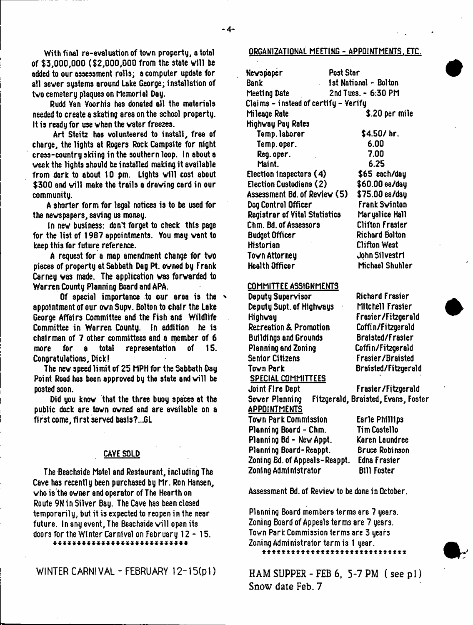- **4**-

added to our assessment rolls; a computer update for all sever systems around Lake George; installation of tvo cemetery plaques on Memorial Day.

Rudd Van Voorhis has donated all the materials needed to create a skating area on the school property. It is ready for use vhen the vater freezes.

Art Steitz has volunteered to install, free of charge, the lights at Rogers Rock Campsite for night cross-country skiing in the southern loop. In about a veek the lights should be installed making it available from dark to about 10 pm. Lights will cost about \$300 and will make the trails a drawing card in our community.

A shorter form for legal notices is to be used for the nevspapers, saving us money.

In nev business: don't forget to check this page for the list of 1987 appointments. You may vent to keep this for future reference.

A request for a map amendment change for tvo pieces of property at Sabbath Dag Pt. ovned by Frank Carney vas made. The application vas forvarded to Warren County Planning Board and APA.

Of special importance to our area is the appointment of our ovn Supv. Bolton to chair the Lake George Affairs Committee and the Fish and Wildlife Committee in Warren County. In addition he is chairman of 7 other committees and a member of 6 more for a total representation of 15. Congratulations, Dick!

The new speed limit of 25 MPH for the Sabbath Day Point Road has been approved by the state and will be posted soon.

Did you know that the three buoy spaces at the public dock are tovn ovned and are available on a first come, first served basis?...GL

## CAVE SOLD

The Beachside Motel and Restaurant, including The Cave has recently been purchased by Mr. Ron Hansen, vho is the ovner and operator of The Hearth on Route 9N in Silver Bsy. The Cave has been closed temporarily, but it is expected to reopen in the near future. In any event, The Beachside will open its doors for the Winter Carnival on February 12 - 15.

\* \* \* \* \* \* \* \* \* \* \* \* \* \* \* \* \* \* \* \* \* \* \* \* \* \* \* \*

WINTER CARNIVAL - FEBRUARY 12-15(p1)

## ORGANIZATIONAL MEETING - APPOINTMENTS. ETC.

| Newspaper                            | Post Star              |  |  |
|--------------------------------------|------------------------|--|--|
| Bank                                 | 1st National - Bolton  |  |  |
| Meeting Date                         | 2nd Tues. - 6:30 PM    |  |  |
| Claims - instead of certify - Yerify |                        |  |  |
| Mileage Rate                         | \$.20 per mile         |  |  |
| Highway Pay Rates                    |                        |  |  |
| Temp. laborer                        | \$4.50/hr.             |  |  |
| Temp.oper.                           | 6.00                   |  |  |
| Reg. oper.                           | 7.00                   |  |  |
| Maint.                               | 6.25                   |  |  |
| Election Inspectors (4)              | \$65 each/day          |  |  |
| <b>Election Custodians (2)</b>       | \$60.00 ea/day         |  |  |
| Assessment Bd. of Review (5)         | \$75.00 ea/day         |  |  |
| Dog Control Officer                  | Frank Swinton          |  |  |
| <b>Registrar of Vital Statistics</b> | Maryalice Hall         |  |  |
| Chm. Bd. of Assessors                | <b>Clifton Frasier</b> |  |  |
| <b>Budget Officer</b>                | Richard Bolton         |  |  |
| Historian                            | <b>Clifton West</b>    |  |  |
| Town Attorney                        | John Silvestri         |  |  |
| Health Officer                       | Michael Shuhler        |  |  |

#### COMMITTEE ASSIGNMENTS

Deputy Supervisor Deputy Supt. of Hlghvays Highvay Recreation & Promotion Buildings and Grounds Planning and Zoning Senior Citizens Tovn Park SPECIAL COMMITTEES

Joint Fire Dept Sever Planning

Richard Frasier Mitchell Frasier Frasier/Fitzgerald Coffin/Fitzgerald Bralsted/Frasier Coffin/Fitzgerald Frasier/Braisted Braisted/Fitzgerald

Frasier/Fitzgerald Fitzgerald, Braisted, Evans, Foster

**APPOINTMENTS** Tovn Park Commission Planning Board - Chm. Planning Bd - New Appt. Planning Board-Reappt. Zoning Bd.of Appeals-Reappt. Zoning Administrator

Earle Phillips Tim Costello Karen Laundree Bruce Robinson Edna Frasier Bill Foster

Assessment Bd. of Reviev to be done in October.

Planning Board members terms are 7 years. Zoning Board of Appeals terms are 7 years. Tovn Park Commission terms are 3 years Zoning Administrator term is 1 year.

a \* \* \* \* \* \* \* \* \* \* \* \* \* \* \* \* \* \* \* \* \* \* \* \* \* \* \* \* \*

HAM SUPPER - FEB  $6, 5$ -7 PM  $($  see  $p1)$ Snow date Feb. 7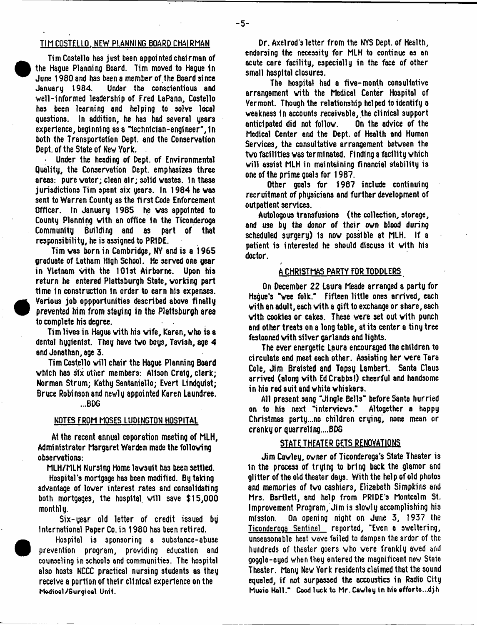### Tlh COSTELLO. NEW PLANNING BOARD CHAIRMAN

Tim Costello has just been appointed chairman of the Hague Planning Board. Tim moved to Hague in June 1980 and has been a member of the Board since January 1984. Under the conscientious and veil-informed leadership of fred LaPann, Costello has been learning and helping to solve local questions. In addition, he has had several years experience, beginning as a "technician-engineer", in both the Transportation Dept, and the Conservation Dept, of the State of Nev York.

Under the heading of Dept, of Environmental Quality, the Conservation Dept, emphasizes three areas: pure water; clean air; solid vastes. In these jurisdictions Tim spent six years. In 1984 he vas sent to Warren County as the first Code Enforcement Officer. In January 1985 he vas appointed to County Planning vith an office in the Ticonderoga Building and as part of that responsibility, he is assigned to PRIDE.

Tim vas born in Cambridge, NY and is a 1965 graduate of Latham High School. He served one year in Yletnam with the 101st Airborne. Upon his return he entered Plattsburgh State, vorking part time In construction In order to earn his expenses. Various job oppportunities described above finally prevented him from staying in the Plattsburgh area to complete his degree.

Tim lives in Hague vith his wife, Karen, vho is a dental hyglenlst. They have tvo boys, Tavlsh, age 4 and Jonathan, age 3.

Tim Costello will chair the Hague Planning Board vhlch has six other members: Alison Craig, clerk; Norman Strum; Kathy Santaniello; Evert Lindquist; Bruce Robinson and nevly appointed Karen Laundree.

...BDG

#### NOTES FROM MOSES LUDINGTON HOSPITAL

At the recent annual coporation meeting of MLH, Administrator Margaret Warden made the following observations:

MLH/MLH Nursing Home lavsult ha3 been settled.

Hospital's mortgage has been modified. By taking advantage of lover interest rates and consolidating both mortgages, the hospital will save  $$15,000$ monthly.

Six-year old letter of credit issued by International Paper Co. in 1980 has been retired.



Hospital is sponsoring a substance-abuse prevention program, providing education and counseling in schools and communities. The hospital also hosts NCCC practical nursing students as they receive a portion of their clinical experience on the Medioel/Surgioel Unit.

Dr. Axelrod's letter from the NYS Dept, of Health, endorsing the necessity for MLH to continue as an acute care facility, especially in the face of other small hospital closures.

The hospital had a five-month consultative arrangement vith the Medical Center Hospital of Vermont. Though the relationship helped to identify a weakness in accounts receivable, the clinical support<br>anticipated did not follow. On the advice of the anticipated did not follow. Medical Center and the Dept, of Health and Human Services, the consultative arrangement between the tvo facilities vas terminated. Finding a facility which will assist MLH in maintaining financial stability is one of the prime goals for 1987.

Other goals for 1987 include continuing recruitment of physicians and further development of outpatient services.

Autologous transfusions (the collection, storage, and use by the donor of their own blood during scheduled surgery) Is now possible at MLH. If a patient is interested he should discuss it with his doctor.

#### A CHRISTMAS PARTY FOR TODDLERS

/

On December 22 Laura Meade arranged a party for Hague's "wee folk." Fifteen little ones arrived, each vith an adult, each vith a gift to exchange or share, each vith cookies or cakes. These were set out vith punch and other treats on a long table, at its center a tiny tree festooned vith silver garlands and lights.

The ever energetic Laura encouraged the children to circulate and meet each other. Assisting her were Tara Cole, Jim Braisted and Topsy Lambert. Santa Claus arrived (along vith EdCrabbs!) cheerful and handsome in his red suit and white whiskers.

All present sang "Jingle Bells" before Santa hurried on to his next "interviews." Altogether a happy Christmas party...no children crying, none mean or cranky or quarre11ng....BDG

### STATE THEATER GETS RENOVATIONS

Jim Cawley, owner of Ticonderoga's State Theater is In the process of trying to bring back the glamor and glitter of the old theater days. With the help of old photos and memories of tvo cashiers, Elizabeth Simpkins and Mrs. Bartlett, and help from PRIDE's Montcalm St. Improvement Program, Jim is slowly accomplishing his mission. On opening night on June 3, 1937 the Ticonderoga Sentinel reported, "Even a sweltering, unseasonable heat vave failed to dampen the ardor of the hundreds of theater goers vho were frankly aved and goggle-eyed when they entered the magnificent nev/ State Theater. Many Nev York residents claimed that the sound equaled, if not surpassed the accoustics in Radio City Mueio Hall." Good luck to Mr. Cawley in hie efforts...djh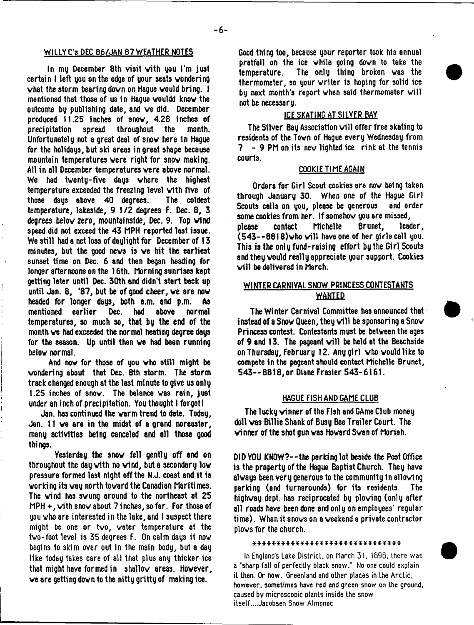## WILLY C's DEC 86/JAN 87 WEATHER NOTES

In my December 8th visit with you I'm just certsin I left you on the edge of your seats wondering vhat the storm bearing down on Hague vould bring. I mentioned that those of us in Hague vouldd know the outcome by publishing date, and ve did. December produced 11.25 inches of snov, 4.28 inches of precipitation spread throughout the month. Unfortunately not a great deal of snov here In Hague for the holidays, but ski areas in great shape because mountain temperatures were right for snov making. All in all December temperatures were above normal. We had tventy-five days where the highest temperature exceeded the freezing level vith five of those days above 40 degrees. The coldest temperature, lakeside, 9 1/2 degrees F. Dec. 8, 3 degrees belov zero, mountainside, Dec. 9. Top vtnd speed did not exceed the 43 MPH reported last issue. We still had a net loss of daylight for December of 13 minutes, but the good news is ve hit the earliest sunset time on Dec. 6 and then began heading for longer afternoons on the 16th. Morning sunrises kept getting later until Dec. 30th and didn't start back up until Jan. 8, '87, but be of good cheer, ve are now headed for longer days, both a.m. and p.m. As mentioned earlier Dec. had above normal temperatures, so much so, that by the end of the month ve had exceeded the normal heating degree days for the season. Up until then ve had bean running belov normal.

And now for those of you vho still might be wondering about that Dec. 8th storm. The storm track changed enough at the last minute to give us only 1.25 inches of snov. The balance was rain, just under an inch of precipitation. You thought I forgot!

Jan. has continued the warm trend to date. Today, Jan. 11 ve are in the midst of a grand noreaster, many activities being canceled and all those good things.

Yesterday the snov fell gently off and on throughout the day vith no vtnd, but a secondary lov pressure formed last night off the N.J. coast end it is working its way north toward the Canadian Maritimes. The vind has swung around to the northeast at 25 MPH +, with snov about 7 inches, so far. For those of you vho are interested in the lake, and I suspect there might be one or tvo, water temperature at the tvo-foot level is 35 degrees F. On calm days it nov begins to skim over out in the main body, but a day like today takes care of all that plus any thicker ice that might have formed in shallov areas. Hovever, ve are getting down to the nitty gritty of making ice.

Good thing too, because your reporter took his annual pratfall on the ice while going down to take the temperature. The only thing broken vas the thermometer, so your vriter is hoping for solid ice by next month's report when said thermometer will not be necessary.

# ICE SKATING AT SILVER BAY

The Silver Bay Association will offer free skating to residents of the Tovn of Hague every Wednesday from 7 - 9 PM on its nev lighted ice rink at the tennis courts.

## COOKIE TIME AGAIN

Orders for Girl Scout cookies are nov being taken through January 30. When one of the Hague Girl Scouts calls on you, please be generous and order some cookies from her. If somehow you are missed, please contact Michelle Brunet, leader,  $(543 - 8818)$  who will have one of her girls call you. This is the only fund-raising effort by the Girl Scouts and they vould really appreciate your support. Cookies will be delivered in March.

# WINTER CARNIVAL SNOW PRINCESS CONTESTANTS **WANTEP**

The Winter Carnival Committee has announced that instead of a Snow Queen, they will be sponsoring a Snow Princess contest. Contestants must be between the ages of 9 and 13. The pageant will be held at the Beachside on Thursday, February 12. Any girl vho vould like to compete in the pageant should contact Michelle Brunet, 543--8818,or Diane Frasier 543-6161.

## HAGUE FISH AND GAME CLUB

The lucky vinner of the Fish and GAme Club money doll vas Billie Shank of Busy Bee Trailer Court. The vinner of the shot gun vas Howard Svan of Moriah.

DID YOU KtK)W?--the parking lot beside the Post Office is the property of the Hague Baptist Church. They have always been very generous to the community In allowing parking (and turnarounds) for its residents. The highvay dept, has reciprocated by plowing (only after all roads have been done and only on employees' regular time). When it snows on a weekend a private contractor plows for the church.

\* \* \* \* \* \* \* \* \* \* \* \* \* \* \* \* \* \* \* \* \* \* \* \* \* \* \* \* \* \* \*

In England's Lake District, on March 31. 1698. there was a "sharp fall of perfectly black snow." No one could explain it then. Or now. Greenland and other places in the Arctic, however, sometimes have red and green snow on the ground, caused by microscopic plants inside the snow itself....Jacobsen Snow Almanac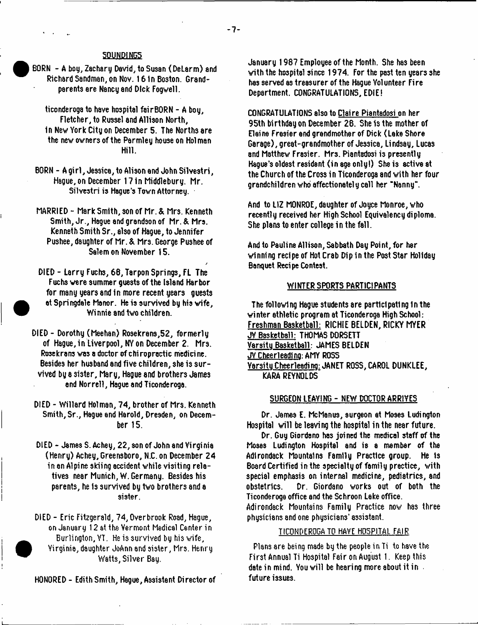**/**

## 5QUND1NG5

BORN - A bog, Zachary David, to Susan (DeLarm) and Richard Sandman, on Nov. 16 in Boston. Grandparents are Nancy and Dick Fogwell.

ticonderoga to have hospital fairBORN - A boy, Fletcher, to Russel and Allison North, in Nev York City on December 5. The Norths are the new owners of the Parmley house on Holman Hill.

- BORN A girl, Jessica, to Alison and John Silvestri, Hague, on December 17 in Middlebury, Mr. Silvestri is Hague's Town Attorney.
- MARRIED Mark Smith, son of Mr.& Mrs. Kenneth Smith, Jr., Hague and grandson of Mr. & Mrs. Kenneth Smith Sr., also of Hague, to Jennifer Pushee, daughter of Mr. & Mrs. George Pushee of Salem on November 15.

DIED - Larry Fuchs, 68, Tarpon Springs, FL The Fuchs were summer guests of the Island Harbor for many years and in more recent years guests at Springdale Manor. He is survived by his wife, Winnie and two children.

- DIED Dorothy (Meehan) Rosekran3,52, formerly of Hague, in Liverpool, NY on December 2. Mrs. Rosekrans was a doctor of chiropractic medicine. Besides her husband and five children, she is survived by a sister, Mary, Hague and brothers James end Norrell, Hague and Ticonderoga.
- DIED Willard Holman, 74, brother of Mrs. Kenneth Smith, Sr., Hague end Harold, Dresden, on December 15.
- DIED James S. Achey, 22, son of John and Virginia (Henry) Achey, Greensboro, N.C.on December 24 in an Alpine skiing accident while visiting relatives near Munich, W. Germany. Besides his parents, he is survived by two brothers and a sister.

DIED - Eric Fitzgerald, 74, Overbrook Road, Hague, on January 12 at the Vermont Medical Center in Burlington, YT. He is survived by his wife, Virginia, daughter JoAnn and sister, Mrs. Henry Watts, Silver Bay.

HONORED - Edith Smith, Hague, Assistant Director of

January 1987 Employee of the Month. She has been with the hospital since 1974. For the past ten years she has served as treasurer of the Hague Volunteer Fire Department. CONGRATULATIONS, EDIE!

CONGRATULATIONS also to Claire Piantadosi on her 95th birthday on December 28. She is the mother of Elaine Frasier end grandmother of Dick (Lake Shore Garage), great-grandmother of Jessica, Lindsay, Lucas and Matthew Frasier. Mrs. Piantadosi is presently Hague's oldest resident (in age only!) She is active at the Church of the Cross in Ticonderoga and with her four grandchildren who affectionately call her "Nanny-.

And to LIZ MONROE, daughter of Joyce Monroe, who recently received her High School Equivalency diploma. She plans to enter college in the fall.

And to Pauline Allison, Sabbath Day Point, for her winning recipe of Hot Crab Dip in the Post Star Holiday Banquet Recipe Contest.

#### WINTER SPORTS PARTICIPANTS

The following Hague students are participating In the winter athletic program at Ticonderoga High School: Freshman Basketball: RICHIE BELDEN, RICKY MYER JY Basketball: THOMAS DORSETT Varsitu Basketball: JAMES BELDEN JV Cheerleading: AMY ROSS Varsitu Cheerleadino: JANET ROSS, CAROL DUNKLEE, KARA REYNOLDS

#### SURGEON LEAVING - NEW DOCTOR ARRIVES

Dr. James E. McManus, surgeon at Moses Ludington Hospital will be leaving the hospital in the near future.

Dr. Guy Giordano has joined the medical staff of the Mosas Ludington Hospital and is a member of the Adirondack Mountains Family Practice group. He Is Board Certified in the specialty of family practice, with special emphasis on internal medicine, pediatrics, and obstetrics. Dr. Giordano works out of both the Ticonderoga office and the Schroon Lake office. Adirondack Mountains Family Practice now has three physicians and one physicians' assistant.

## TICONDEROGA TO HAVE HOSPITAL FAIR

Plans are being made by the people in Ti to have the First Annual Ti Hospital Fair on August 1. Keep this date in mind. You will be hearing more about it in future issues.